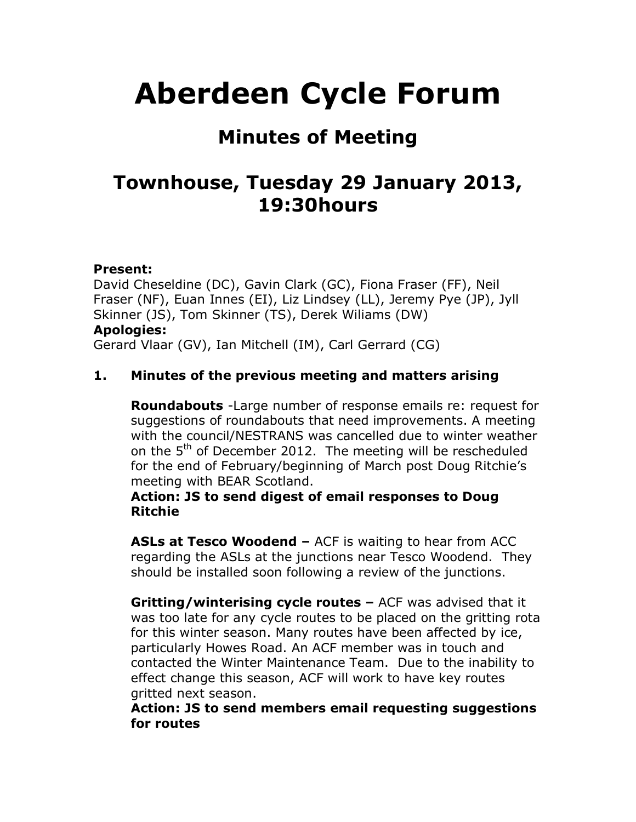# **Aberdeen Cycle Forum**

## **Minutes of Meeting**

## **Townhouse, Tuesday 29 January 2013, 19:30hours**

#### **Present:**

David Cheseldine (DC), Gavin Clark (GC), Fiona Fraser (FF), Neil Fraser (NF), Euan Innes (EI), Liz Lindsey (LL), Jeremy Pye (JP), Jyll Skinner (JS), Tom Skinner (TS), Derek Wiliams (DW) **Apologies:** Gerard Vlaar (GV), Ian Mitchell (IM), Carl Gerrard (CG)

#### **1. Minutes of the previous meeting and matters arising**

**Roundabouts** -Large number of response emails re: request for suggestions of roundabouts that need improvements. A meeting with the council/NESTRANS was cancelled due to winter weather on the 5<sup>th</sup> of December 2012. The meeting will be rescheduled for the end of February/beginning of March post Doug Ritchie's meeting with BEAR Scotland.

#### **Action: JS to send digest of email responses to Doug Ritchie**

**ASLs at Tesco Woodend –** ACF is waiting to hear from ACC regarding the ASLs at the junctions near Tesco Woodend. They should be installed soon following a review of the junctions.

**Gritting/winterising cycle routes –** ACF was advised that it was too late for any cycle routes to be placed on the gritting rota for this winter season. Many routes have been affected by ice, particularly Howes Road. An ACF member was in touch and contacted the Winter Maintenance Team. Due to the inability to effect change this season, ACF will work to have key routes gritted next season.

**Action: JS to send members email requesting suggestions for routes**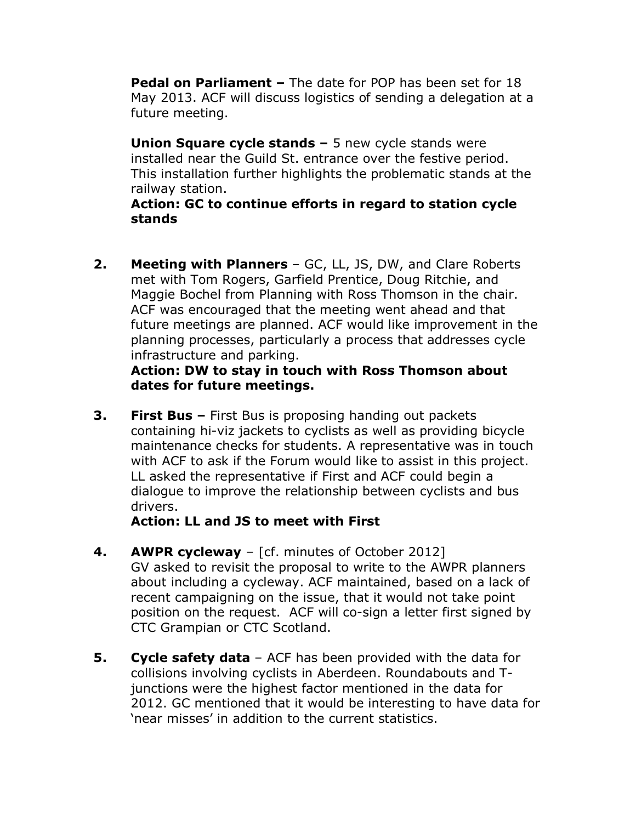**Pedal on Parliament –** The date for POP has been set for 18 May 2013. ACF will discuss logistics of sending a delegation at a future meeting.

**Union Square cycle stands –** 5 new cycle stands were installed near the Guild St. entrance over the festive period. This installation further highlights the problematic stands at the railway station.

**Action: GC to continue efforts in regard to station cycle stands**

**2. Meeting with Planners** – GC, LL, JS, DW, and Clare Roberts met with Tom Rogers, Garfield Prentice, Doug Ritchie, and Maggie Bochel from Planning with Ross Thomson in the chair. ACF was encouraged that the meeting went ahead and that future meetings are planned. ACF would like improvement in the planning processes, particularly a process that addresses cycle infrastructure and parking.

#### **Action: DW to stay in touch with Ross Thomson about dates for future meetings.**

**3. First Bus –** First Bus is proposing handing out packets containing hi-viz jackets to cyclists as well as providing bicycle maintenance checks for students. A representative was in touch with ACF to ask if the Forum would like to assist in this project. LL asked the representative if First and ACF could begin a dialogue to improve the relationship between cyclists and bus drivers.

**Action: LL and JS to meet with First** 

- **4. AWPR cycleway** [cf. minutes of October 2012] GV asked to revisit the proposal to write to the AWPR planners about including a cycleway. ACF maintained, based on a lack of recent campaigning on the issue, that it would not take point position on the request. ACF will co-sign a letter first signed by CTC Grampian or CTC Scotland.
- **5. Cycle safety data** ACF has been provided with the data for collisions involving cyclists in Aberdeen. Roundabouts and Tjunctions were the highest factor mentioned in the data for 2012. GC mentioned that it would be interesting to have data for 'near misses' in addition to the current statistics.